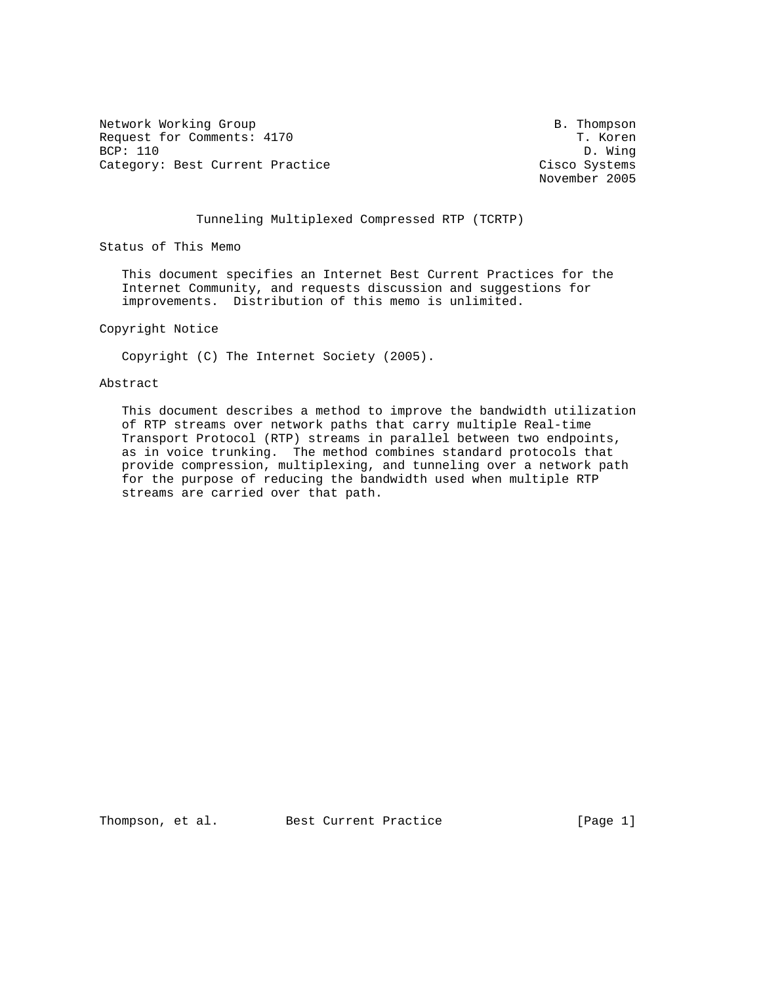Network Working Group and the set of the set of the set of the B. Thompson Request for Comments: 4170 T. Koren<br>BCP: 110 D. Wing BCP: 110 D. Wing<br>Category: Best Current Practice  $\overline{C}$  D. D. Wing Category: Best Current Practice

November 2005

## Tunneling Multiplexed Compressed RTP (TCRTP)

Status of This Memo

 This document specifies an Internet Best Current Practices for the Internet Community, and requests discussion and suggestions for improvements. Distribution of this memo is unlimited.

Copyright Notice

Copyright (C) The Internet Society (2005).

Abstract

 This document describes a method to improve the bandwidth utilization of RTP streams over network paths that carry multiple Real-time Transport Protocol (RTP) streams in parallel between two endpoints, as in voice trunking. The method combines standard protocols that provide compression, multiplexing, and tunneling over a network path for the purpose of reducing the bandwidth used when multiple RTP streams are carried over that path.

Thompson, et al. Best Current Practice [Page 1]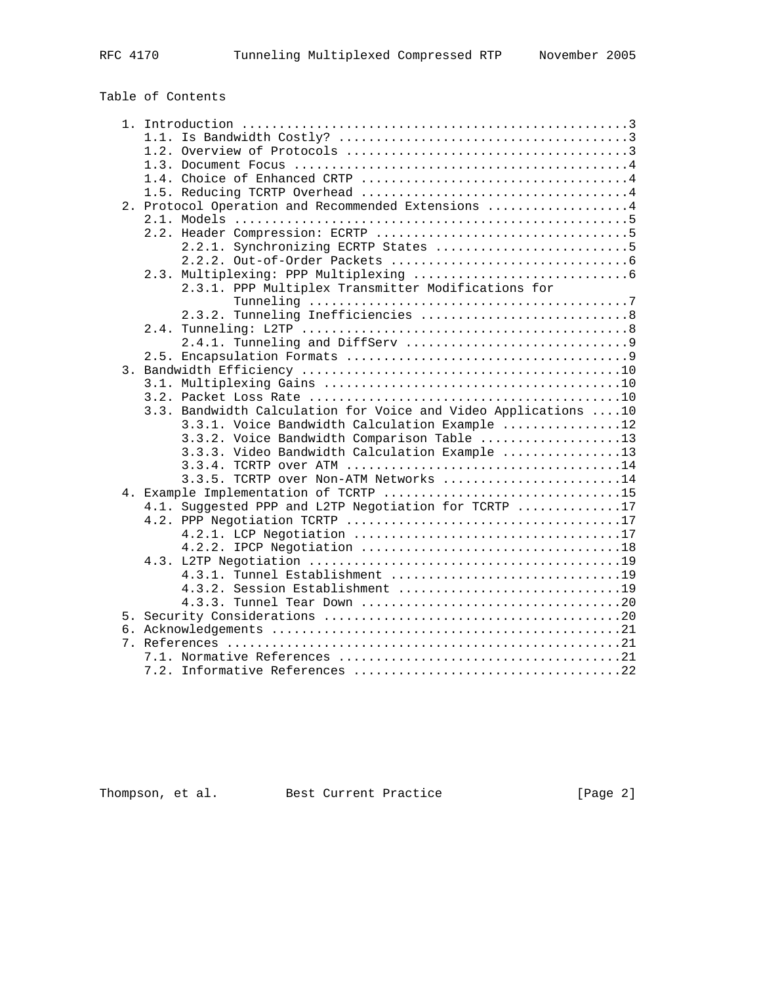# Table of Contents

|    | 2. Protocol Operation and Recommended Extensions 4             |
|----|----------------------------------------------------------------|
|    |                                                                |
|    |                                                                |
|    | 2.2.1. Synchronizing ECRTP States 5                            |
|    |                                                                |
|    |                                                                |
|    | 2.3.1. PPP Multiplex Transmitter Modifications for             |
|    |                                                                |
|    | 2.3.2. Tunneling Inefficiencies  8                             |
|    |                                                                |
|    |                                                                |
|    |                                                                |
|    |                                                                |
|    |                                                                |
|    |                                                                |
|    | 3.3. Bandwidth Calculation for Voice and Video Applications 10 |
|    | 3.3.1. Voice Bandwidth Calculation Example 12                  |
|    | 3.3.2. Voice Bandwidth Comparison Table 13                     |
|    | 3.3.3. Video Bandwidth Calculation Example 13                  |
|    |                                                                |
|    | 3.3.5. TCRTP over Non-ATM Networks 14                          |
|    | 4. Example Implementation of TCRTP 15                          |
|    | 4.1. Suggested PPP and L2TP Negotiation for TCRTP 17           |
|    |                                                                |
|    |                                                                |
|    |                                                                |
|    |                                                                |
|    | 4.3.1. Tunnel Establishment 19                                 |
|    | 4.3.2. Session Establishment 19                                |
|    |                                                                |
|    |                                                                |
|    |                                                                |
| 7. |                                                                |
|    |                                                                |
|    | 7.2.                                                           |

Thompson, et al. Best Current Practice [Page 2]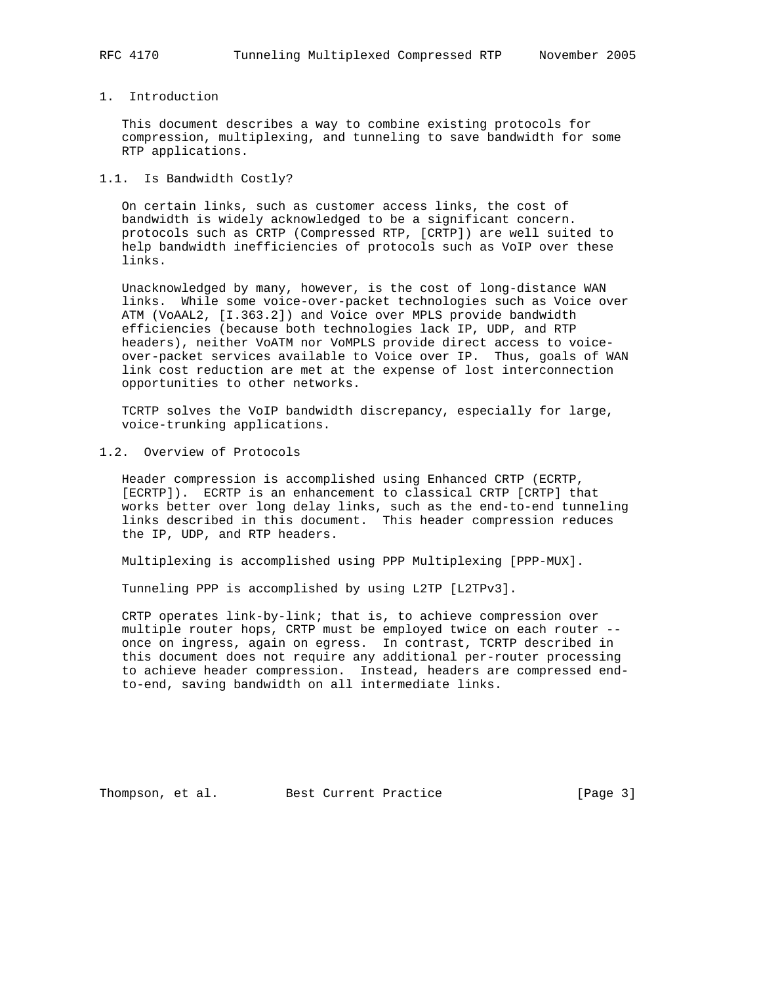## 1. Introduction

 This document describes a way to combine existing protocols for compression, multiplexing, and tunneling to save bandwidth for some RTP applications.

## 1.1. Is Bandwidth Costly?

 On certain links, such as customer access links, the cost of bandwidth is widely acknowledged to be a significant concern. protocols such as CRTP (Compressed RTP, [CRTP]) are well suited to help bandwidth inefficiencies of protocols such as VoIP over these links.

 Unacknowledged by many, however, is the cost of long-distance WAN links. While some voice-over-packet technologies such as Voice over ATM (VoAAL2, [I.363.2]) and Voice over MPLS provide bandwidth efficiencies (because both technologies lack IP, UDP, and RTP headers), neither VoATM nor VoMPLS provide direct access to voice over-packet services available to Voice over IP. Thus, goals of WAN link cost reduction are met at the expense of lost interconnection opportunities to other networks.

 TCRTP solves the VoIP bandwidth discrepancy, especially for large, voice-trunking applications.

1.2. Overview of Protocols

 Header compression is accomplished using Enhanced CRTP (ECRTP, [ECRTP]). ECRTP is an enhancement to classical CRTP [CRTP] that works better over long delay links, such as the end-to-end tunneling links described in this document. This header compression reduces the IP, UDP, and RTP headers.

Multiplexing is accomplished using PPP Multiplexing [PPP-MUX].

Tunneling PPP is accomplished by using L2TP [L2TPv3].

 CRTP operates link-by-link; that is, to achieve compression over multiple router hops, CRTP must be employed twice on each router - once on ingress, again on egress. In contrast, TCRTP described in this document does not require any additional per-router processing to achieve header compression. Instead, headers are compressed end to-end, saving bandwidth on all intermediate links.

Thompson, et al. Best Current Practice [Page 3]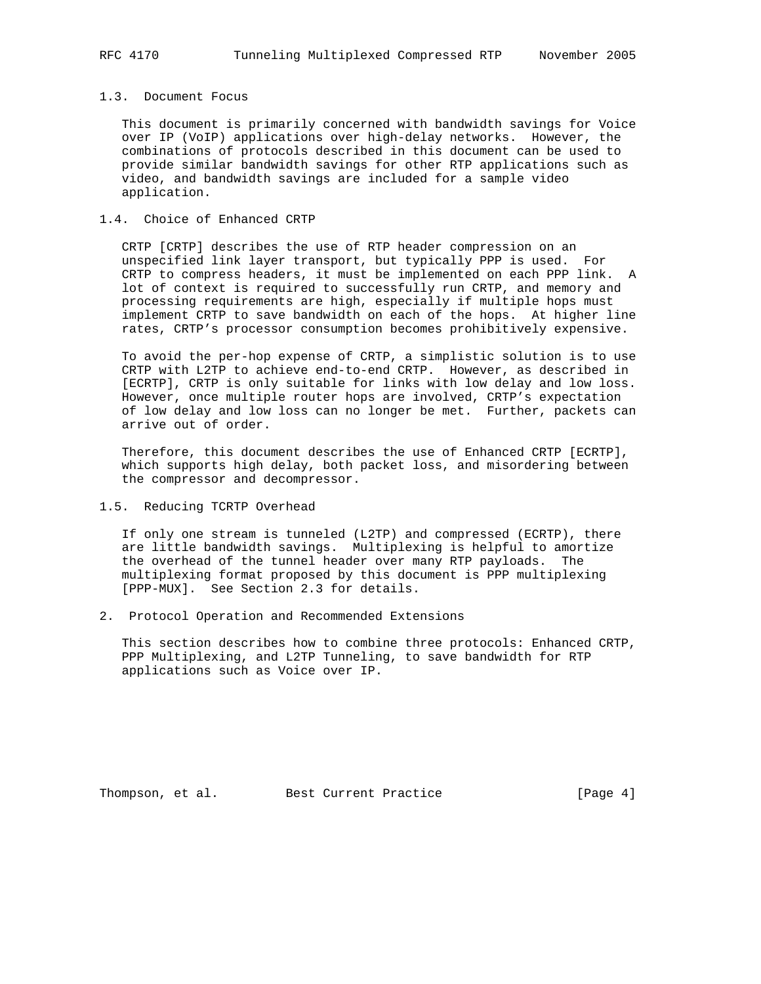#### 1.3. Document Focus

 This document is primarily concerned with bandwidth savings for Voice over IP (VoIP) applications over high-delay networks. However, the combinations of protocols described in this document can be used to provide similar bandwidth savings for other RTP applications such as video, and bandwidth savings are included for a sample video application.

## 1.4. Choice of Enhanced CRTP

 CRTP [CRTP] describes the use of RTP header compression on an unspecified link layer transport, but typically PPP is used. For CRTP to compress headers, it must be implemented on each PPP link. A lot of context is required to successfully run CRTP, and memory and processing requirements are high, especially if multiple hops must implement CRTP to save bandwidth on each of the hops. At higher line rates, CRTP's processor consumption becomes prohibitively expensive.

 To avoid the per-hop expense of CRTP, a simplistic solution is to use CRTP with L2TP to achieve end-to-end CRTP. However, as described in [ECRTP], CRTP is only suitable for links with low delay and low loss. However, once multiple router hops are involved, CRTP's expectation of low delay and low loss can no longer be met. Further, packets can arrive out of order.

 Therefore, this document describes the use of Enhanced CRTP [ECRTP], which supports high delay, both packet loss, and misordering between the compressor and decompressor.

1.5. Reducing TCRTP Overhead

 If only one stream is tunneled (L2TP) and compressed (ECRTP), there are little bandwidth savings. Multiplexing is helpful to amortize the overhead of the tunnel header over many RTP payloads. The multiplexing format proposed by this document is PPP multiplexing [PPP-MUX]. See Section 2.3 for details.

2. Protocol Operation and Recommended Extensions

 This section describes how to combine three protocols: Enhanced CRTP, PPP Multiplexing, and L2TP Tunneling, to save bandwidth for RTP applications such as Voice over IP.

Thompson, et al. Best Current Practice [Page 4]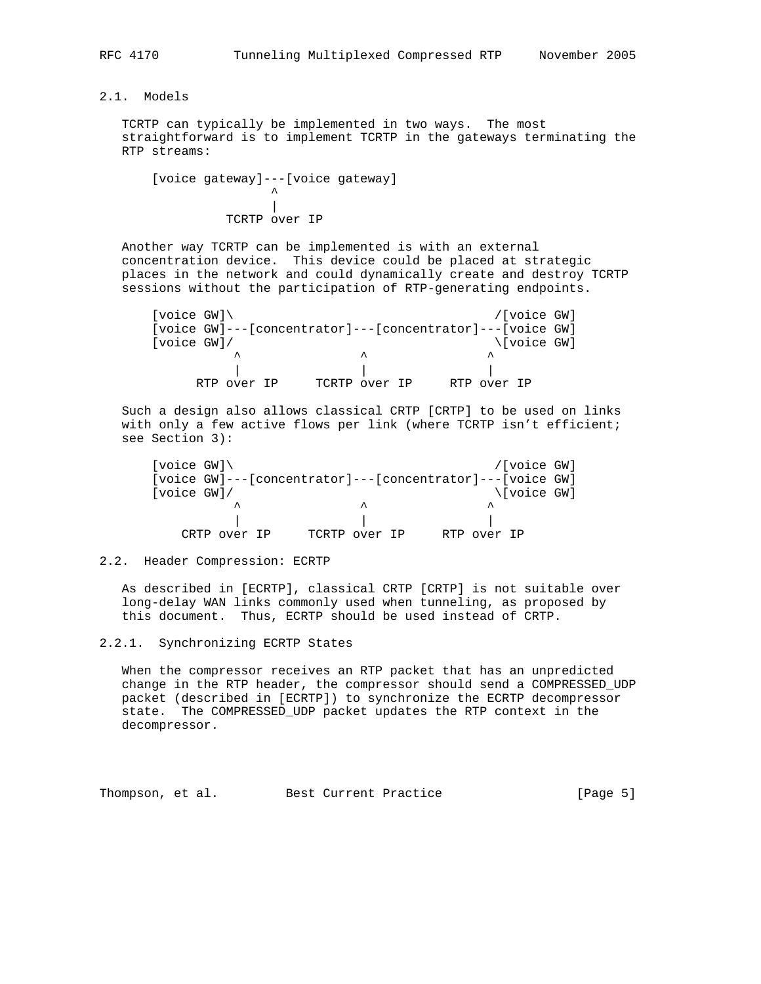# 2.1. Models

 TCRTP can typically be implemented in two ways. The most straightforward is to implement TCRTP in the gateways terminating the RTP streams:

 [voice gateway]---[voice gateway] ^ | TCRTP over IP

 Another way TCRTP can be implemented is with an external concentration device. This device could be placed at strategic places in the network and could dynamically create and destroy TCRTP sessions without the participation of RTP-generating endpoints.

 [voice GW]\ /[voice GW] [voice GW]---[concentrator]---[concentrator]---[voice GW]<br>[voice GW]/ \[voice GW] [voice GW]/ \[voice GW]  $\wedge$   $\wedge$   $\wedge$   $\wedge$   $\wedge$   $\wedge$   $\wedge$  | | | RTP over IP TCRTP over IP RTP over IP

 Such a design also allows classical CRTP [CRTP] to be used on links with only a few active flows per link (where TCRTP isn't efficient; see Section 3):

| [ $voice GW$ ] \ |              |               | /[voice GW]                                               |
|------------------|--------------|---------------|-----------------------------------------------------------|
|                  |              |               | [voice GW]---[concentrator]---[concentrator]---[voice GW] |
| [voice GW]/      |              |               | \[voice GW]                                               |
|                  | ᄉ            | ㅅ             | ᄉ                                                         |
|                  |              |               |                                                           |
|                  | CRTP over IP | TCRTP over IP | RTP over IP                                               |

#### 2.2. Header Compression: ECRTP

 As described in [ECRTP], classical CRTP [CRTP] is not suitable over long-delay WAN links commonly used when tunneling, as proposed by this document. Thus, ECRTP should be used instead of CRTP.

#### 2.2.1. Synchronizing ECRTP States

 When the compressor receives an RTP packet that has an unpredicted change in the RTP header, the compressor should send a COMPRESSED\_UDP packet (described in [ECRTP]) to synchronize the ECRTP decompressor state. The COMPRESSED\_UDP packet updates the RTP context in the decompressor.

Thompson, et al. Best Current Practice [Page 5]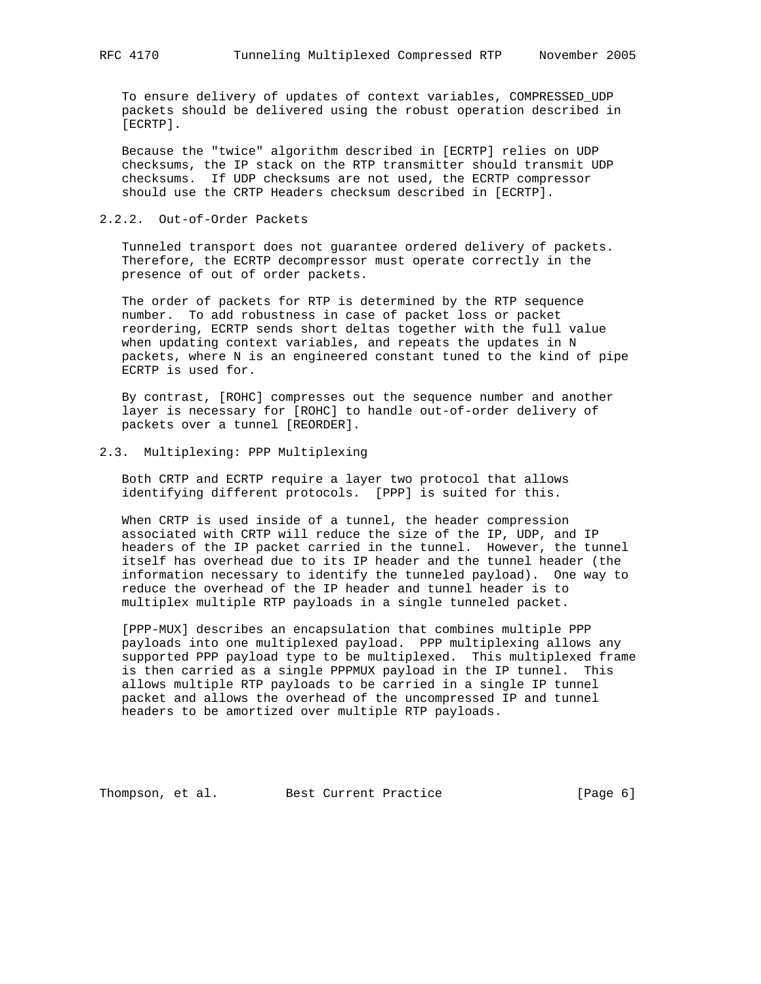To ensure delivery of updates of context variables, COMPRESSED\_UDP packets should be delivered using the robust operation described in [ECRTP].

 Because the "twice" algorithm described in [ECRTP] relies on UDP checksums, the IP stack on the RTP transmitter should transmit UDP checksums. If UDP checksums are not used, the ECRTP compressor should use the CRTP Headers checksum described in [ECRTP].

## 2.2.2. Out-of-Order Packets

 Tunneled transport does not guarantee ordered delivery of packets. Therefore, the ECRTP decompressor must operate correctly in the presence of out of order packets.

 The order of packets for RTP is determined by the RTP sequence number. To add robustness in case of packet loss or packet reordering, ECRTP sends short deltas together with the full value when updating context variables, and repeats the updates in N packets, where N is an engineered constant tuned to the kind of pipe ECRTP is used for.

 By contrast, [ROHC] compresses out the sequence number and another layer is necessary for [ROHC] to handle out-of-order delivery of packets over a tunnel [REORDER].

## 2.3. Multiplexing: PPP Multiplexing

 Both CRTP and ECRTP require a layer two protocol that allows identifying different protocols. [PPP] is suited for this.

 When CRTP is used inside of a tunnel, the header compression associated with CRTP will reduce the size of the IP, UDP, and IP headers of the IP packet carried in the tunnel. However, the tunnel itself has overhead due to its IP header and the tunnel header (the information necessary to identify the tunneled payload). One way to reduce the overhead of the IP header and tunnel header is to multiplex multiple RTP payloads in a single tunneled packet.

 [PPP-MUX] describes an encapsulation that combines multiple PPP payloads into one multiplexed payload. PPP multiplexing allows any supported PPP payload type to be multiplexed. This multiplexed frame is then carried as a single PPPMUX payload in the IP tunnel. This allows multiple RTP payloads to be carried in a single IP tunnel packet and allows the overhead of the uncompressed IP and tunnel headers to be amortized over multiple RTP payloads.

Thompson, et al. Best Current Practice [Page 6]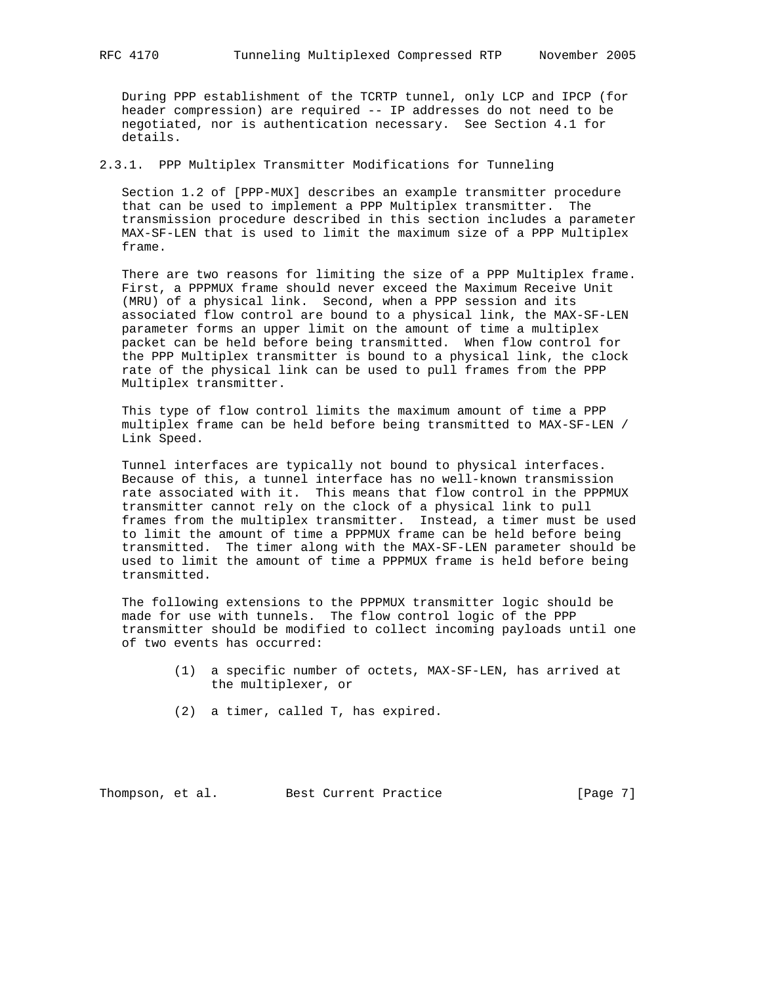During PPP establishment of the TCRTP tunnel, only LCP and IPCP (for header compression) are required -- IP addresses do not need to be negotiated, nor is authentication necessary. See Section 4.1 for details.

2.3.1. PPP Multiplex Transmitter Modifications for Tunneling

 Section 1.2 of [PPP-MUX] describes an example transmitter procedure that can be used to implement a PPP Multiplex transmitter. The transmission procedure described in this section includes a parameter MAX-SF-LEN that is used to limit the maximum size of a PPP Multiplex frame.

 There are two reasons for limiting the size of a PPP Multiplex frame. First, a PPPMUX frame should never exceed the Maximum Receive Unit (MRU) of a physical link. Second, when a PPP session and its associated flow control are bound to a physical link, the MAX-SF-LEN parameter forms an upper limit on the amount of time a multiplex packet can be held before being transmitted. When flow control for the PPP Multiplex transmitter is bound to a physical link, the clock rate of the physical link can be used to pull frames from the PPP Multiplex transmitter.

 This type of flow control limits the maximum amount of time a PPP multiplex frame can be held before being transmitted to MAX-SF-LEN / Link Speed.

 Tunnel interfaces are typically not bound to physical interfaces. Because of this, a tunnel interface has no well-known transmission rate associated with it. This means that flow control in the PPPMUX transmitter cannot rely on the clock of a physical link to pull frames from the multiplex transmitter. Instead, a timer must be used to limit the amount of time a PPPMUX frame can be held before being transmitted. The timer along with the MAX-SF-LEN parameter should be used to limit the amount of time a PPPMUX frame is held before being transmitted.

 The following extensions to the PPPMUX transmitter logic should be made for use with tunnels. The flow control logic of the PPP transmitter should be modified to collect incoming payloads until one of two events has occurred:

- (1) a specific number of octets, MAX-SF-LEN, has arrived at the multiplexer, or
- (2) a timer, called T, has expired.

Thompson, et al. Best Current Practice [Page 7]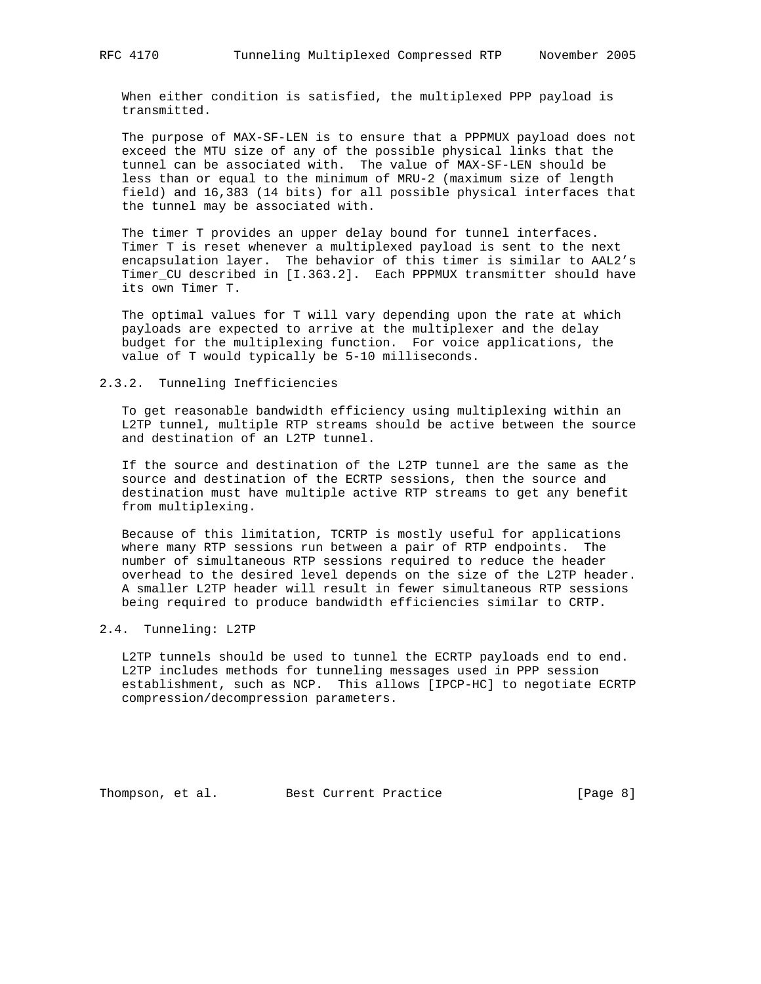When either condition is satisfied, the multiplexed PPP payload is transmitted.

 The purpose of MAX-SF-LEN is to ensure that a PPPMUX payload does not exceed the MTU size of any of the possible physical links that the tunnel can be associated with. The value of MAX-SF-LEN should be less than or equal to the minimum of MRU-2 (maximum size of length field) and 16,383 (14 bits) for all possible physical interfaces that the tunnel may be associated with.

 The timer T provides an upper delay bound for tunnel interfaces. Timer T is reset whenever a multiplexed payload is sent to the next encapsulation layer. The behavior of this timer is similar to AAL2's Timer\_CU described in [I.363.2]. Each PPPMUX transmitter should have its own Timer T.

 The optimal values for T will vary depending upon the rate at which payloads are expected to arrive at the multiplexer and the delay budget for the multiplexing function. For voice applications, the value of T would typically be 5-10 milliseconds.

#### 2.3.2. Tunneling Inefficiencies

 To get reasonable bandwidth efficiency using multiplexing within an L2TP tunnel, multiple RTP streams should be active between the source and destination of an L2TP tunnel.

 If the source and destination of the L2TP tunnel are the same as the source and destination of the ECRTP sessions, then the source and destination must have multiple active RTP streams to get any benefit from multiplexing.

 Because of this limitation, TCRTP is mostly useful for applications where many RTP sessions run between a pair of RTP endpoints. The number of simultaneous RTP sessions required to reduce the header overhead to the desired level depends on the size of the L2TP header. A smaller L2TP header will result in fewer simultaneous RTP sessions being required to produce bandwidth efficiencies similar to CRTP.

#### 2.4. Tunneling: L2TP

 L2TP tunnels should be used to tunnel the ECRTP payloads end to end. L2TP includes methods for tunneling messages used in PPP session establishment, such as NCP. This allows [IPCP-HC] to negotiate ECRTP compression/decompression parameters.

Thompson, et al. Best Current Practice [Page 8]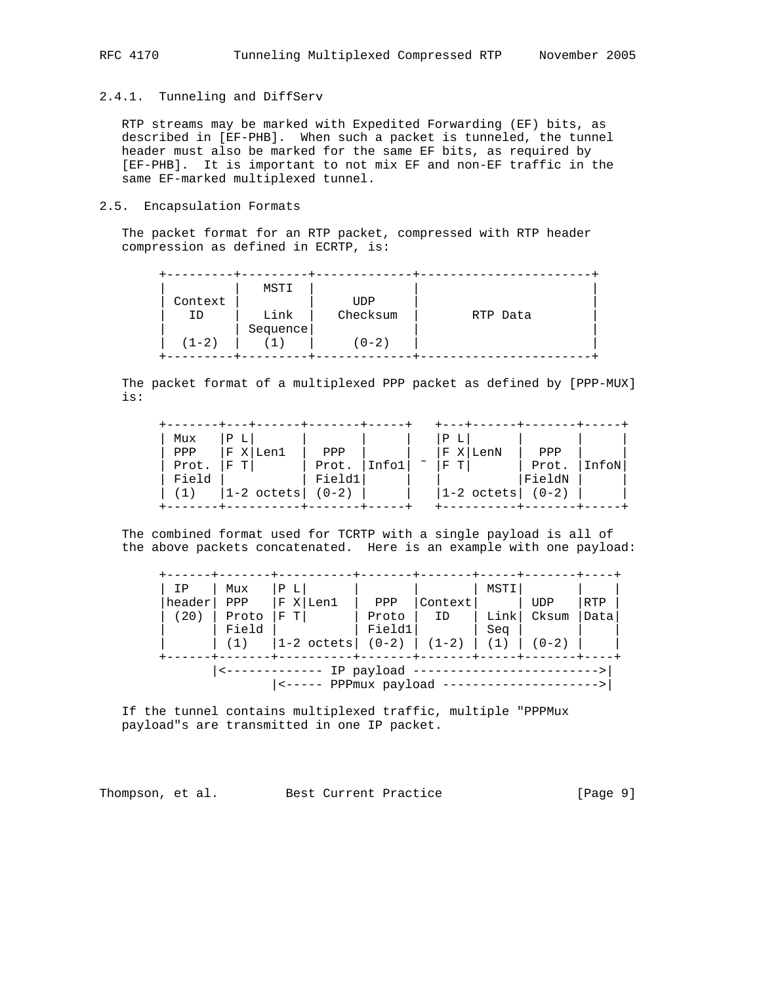## 2.4.1. Tunneling and DiffServ

 RTP streams may be marked with Expedited Forwarding (EF) bits, as described in [EF-PHB]. When such a packet is tunneled, the tunnel header must also be marked for the same EF bits, as required by [EF-PHB]. It is important to not mix EF and non-EF traffic in the same EF-marked multiplexed tunnel.

## 2.5. Encapsulation Formats

 The packet format for an RTP packet, compressed with RTP header compression as defined in ECRTP, is:

| Context<br>ΙD<br>$(1-2)$ | MSTI<br>Link<br>Sequence | <b>UDP</b><br>Checksum<br>(0-2) | RTP Data |
|--------------------------|--------------------------|---------------------------------|----------|
|                          |                          |                                 |          |

 The packet format of a multiplexed PPP packet as defined by [PPP-MUX] is:

| Mux<br>Ρ<br>PPP<br>F<br>Len1<br>т<br>Prot.<br>F<br>Field<br>$ 1-2 \text{ octets} $ | PPP<br>Prot.<br>Field1<br>$(0-2)$ |  | $\tilde{\phantom{a}}$ | Ρ<br>$X \mid$<br>F<br>T<br>F | LenN<br>$ 1-2$ octets $ $ $(0-2)$ | PPP<br>Prot.<br>FieldN | InfoN |
|------------------------------------------------------------------------------------|-----------------------------------|--|-----------------------|------------------------------|-----------------------------------|------------------------|-------|
|------------------------------------------------------------------------------------|-----------------------------------|--|-----------------------|------------------------------|-----------------------------------|------------------------|-------|

 The combined format used for TCRTP with a single payload is all of the above packets concatenated. Here is an example with one payload:

| ΙP<br>header<br>(20)                | Mux<br>PPP<br>Proto<br>Field<br>(1) | P L<br>F X Len1<br>$F$ T<br> 1-2 octets  (0-2) | PPP<br>Proto<br>Field1 | Context<br>ID<br>$(1-2)$ | MSTI<br>Link<br>Seq<br>(1) | <b>UDP</b><br>Cksum<br>$(0-2)$ | RTP<br>Data |
|-------------------------------------|-------------------------------------|------------------------------------------------|------------------------|--------------------------|----------------------------|--------------------------------|-------------|
| IP payload<br><----- PPPmux payload |                                     |                                                |                        |                          |                            |                                |             |

 If the tunnel contains multiplexed traffic, multiple "PPPMux payload"s are transmitted in one IP packet.

Thompson, et al. Best Current Practice [Page 9]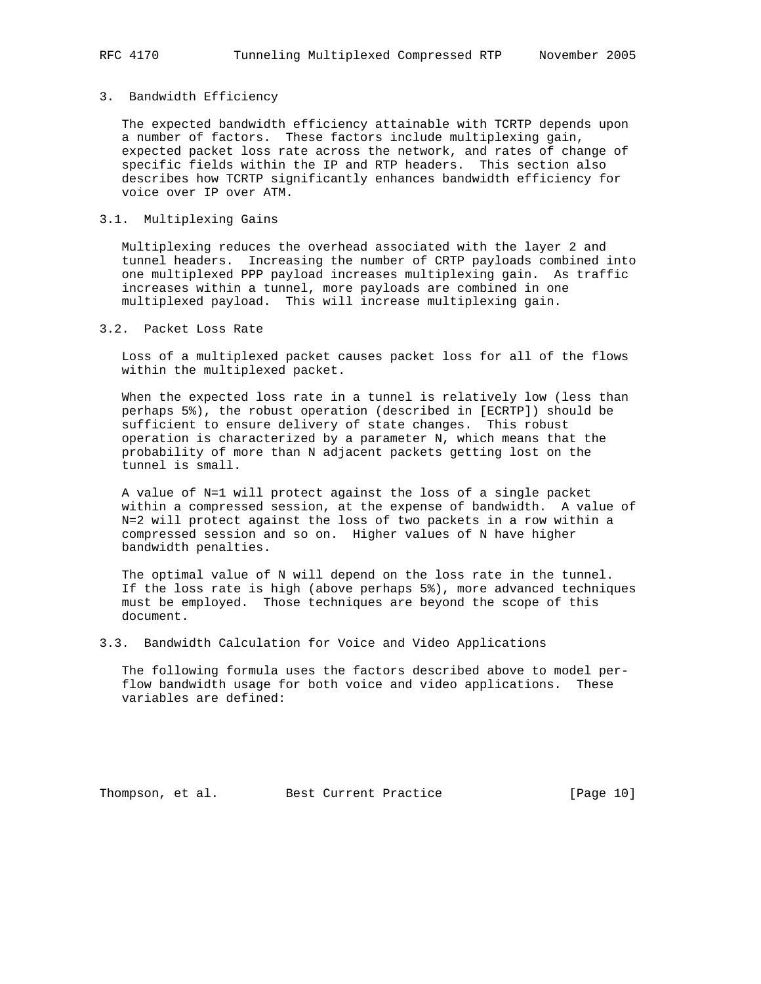## 3. Bandwidth Efficiency

 The expected bandwidth efficiency attainable with TCRTP depends upon a number of factors. These factors include multiplexing gain, expected packet loss rate across the network, and rates of change of specific fields within the IP and RTP headers. This section also describes how TCRTP significantly enhances bandwidth efficiency for voice over IP over ATM.

#### 3.1. Multiplexing Gains

 Multiplexing reduces the overhead associated with the layer 2 and tunnel headers. Increasing the number of CRTP payloads combined into one multiplexed PPP payload increases multiplexing gain. As traffic increases within a tunnel, more payloads are combined in one multiplexed payload. This will increase multiplexing gain.

#### 3.2. Packet Loss Rate

 Loss of a multiplexed packet causes packet loss for all of the flows within the multiplexed packet.

 When the expected loss rate in a tunnel is relatively low (less than perhaps 5%), the robust operation (described in [ECRTP]) should be sufficient to ensure delivery of state changes. This robust operation is characterized by a parameter N, which means that the probability of more than N adjacent packets getting lost on the tunnel is small.

 A value of N=1 will protect against the loss of a single packet within a compressed session, at the expense of bandwidth. A value of N=2 will protect against the loss of two packets in a row within a compressed session and so on. Higher values of N have higher bandwidth penalties.

 The optimal value of N will depend on the loss rate in the tunnel. If the loss rate is high (above perhaps 5%), more advanced techniques must be employed. Those techniques are beyond the scope of this document.

3.3. Bandwidth Calculation for Voice and Video Applications

 The following formula uses the factors described above to model per flow bandwidth usage for both voice and video applications. These variables are defined:

Thompson, et al. Best Current Practice [Page 10]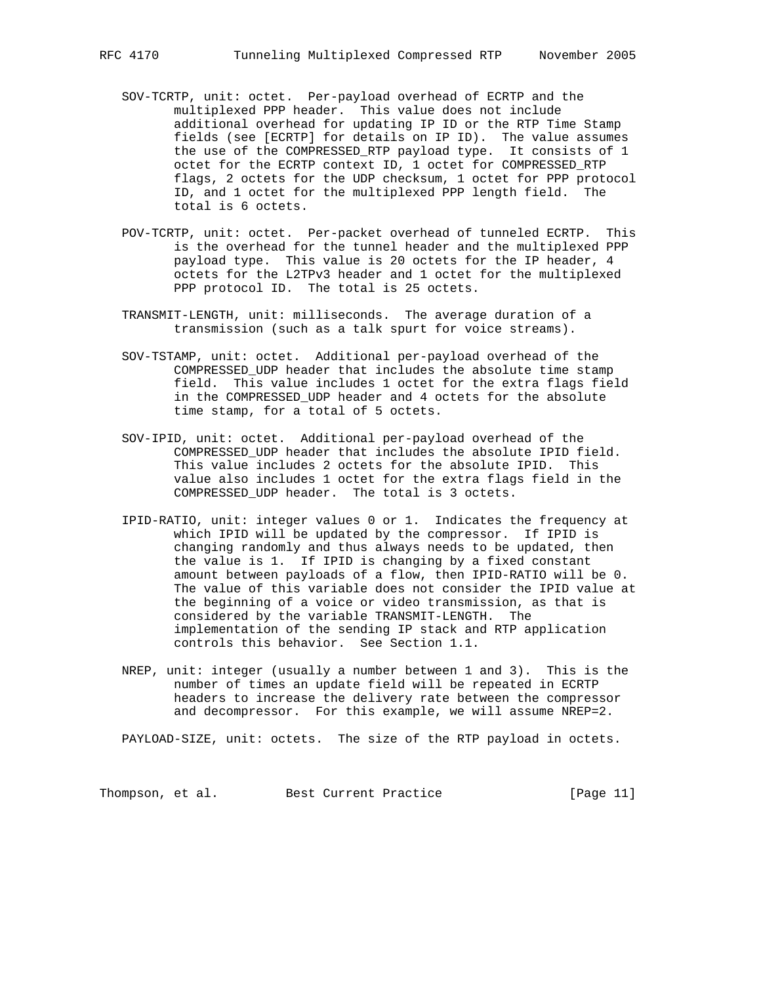- SOV-TCRTP, unit: octet. Per-payload overhead of ECRTP and the multiplexed PPP header. This value does not include additional overhead for updating IP ID or the RTP Time Stamp fields (see [ECRTP] for details on IP ID). The value assumes the use of the COMPRESSED\_RTP payload type. It consists of 1 octet for the ECRTP context ID, 1 octet for COMPRESSED\_RTP flags, 2 octets for the UDP checksum, 1 octet for PPP protocol ID, and 1 octet for the multiplexed PPP length field. The total is 6 octets.
- POV-TCRTP, unit: octet. Per-packet overhead of tunneled ECRTP. This is the overhead for the tunnel header and the multiplexed PPP payload type. This value is 20 octets for the IP header, 4 octets for the L2TPv3 header and 1 octet for the multiplexed PPP protocol ID. The total is 25 octets.
- TRANSMIT-LENGTH, unit: milliseconds. The average duration of a transmission (such as a talk spurt for voice streams).
- SOV-TSTAMP, unit: octet. Additional per-payload overhead of the COMPRESSED\_UDP header that includes the absolute time stamp field. This value includes 1 octet for the extra flags field in the COMPRESSED\_UDP header and 4 octets for the absolute time stamp, for a total of 5 octets.
- SOV-IPID, unit: octet. Additional per-payload overhead of the COMPRESSED\_UDP header that includes the absolute IPID field. This value includes 2 octets for the absolute IPID. This value also includes 1 octet for the extra flags field in the COMPRESSED\_UDP header. The total is 3 octets.
- IPID-RATIO, unit: integer values 0 or 1. Indicates the frequency at which IPID will be updated by the compressor. If IPID is changing randomly and thus always needs to be updated, then the value is 1. If IPID is changing by a fixed constant amount between payloads of a flow, then IPID-RATIO will be 0. The value of this variable does not consider the IPID value at the beginning of a voice or video transmission, as that is considered by the variable TRANSMIT-LENGTH. The implementation of the sending IP stack and RTP application controls this behavior. See Section 1.1.
- NREP, unit: integer (usually a number between 1 and 3). This is the number of times an update field will be repeated in ECRTP headers to increase the delivery rate between the compressor and decompressor. For this example, we will assume NREP=2.

PAYLOAD-SIZE, unit: octets. The size of the RTP payload in octets.

Thompson, et al. Best Current Practice [Page 11]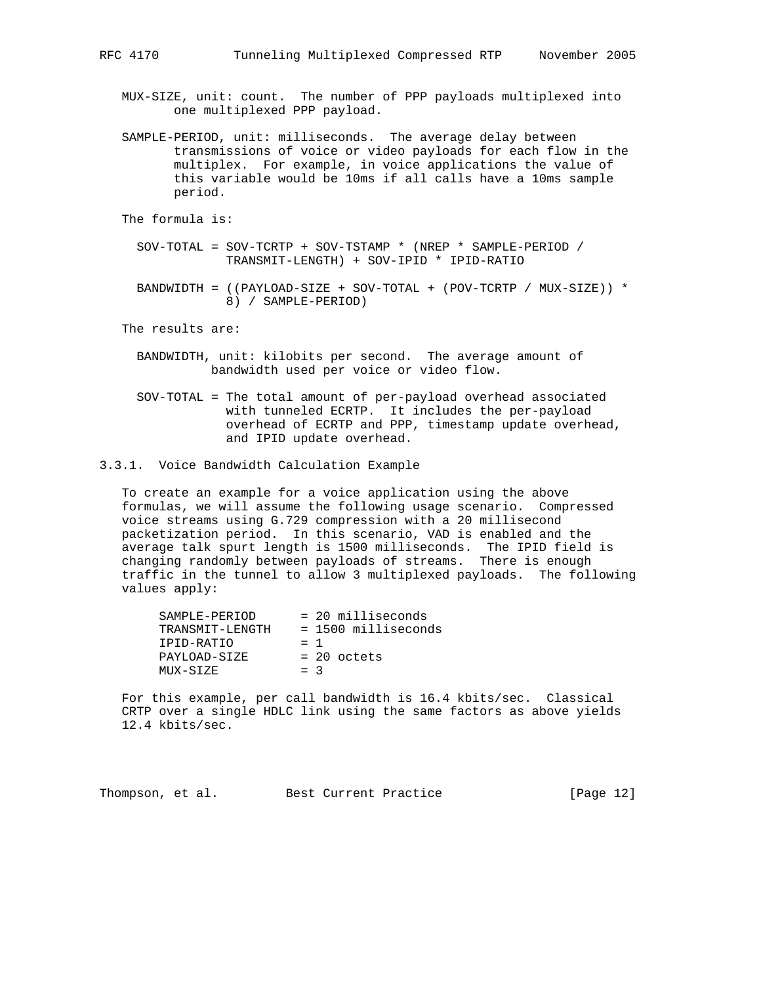MUX-SIZE, unit: count. The number of PPP payloads multiplexed into one multiplexed PPP payload.

- SAMPLE-PERIOD, unit: milliseconds. The average delay between transmissions of voice or video payloads for each flow in the multiplex. For example, in voice applications the value of this variable would be 10ms if all calls have a 10ms sample period.
- The formula is:
	- SOV-TOTAL = SOV-TCRTP + SOV-TSTAMP \* (NREP \* SAMPLE-PERIOD / TRANSMIT-LENGTH) + SOV-IPID \* IPID-RATIO
	- BANDWIDTH = ((PAYLOAD-SIZE + SOV-TOTAL + (POV-TCRTP / MUX-SIZE)) \* 8) / SAMPLE-PERIOD)

The results are:

- BANDWIDTH, unit: kilobits per second. The average amount of bandwidth used per voice or video flow.
- SOV-TOTAL = The total amount of per-payload overhead associated with tunneled ECRTP. It includes the per-payload overhead of ECRTP and PPP, timestamp update overhead, and IPID update overhead.
- 3.3.1. Voice Bandwidth Calculation Example

 To create an example for a voice application using the above formulas, we will assume the following usage scenario. Compressed voice streams using G.729 compression with a 20 millisecond packetization period. In this scenario, VAD is enabled and the average talk spurt length is 1500 milliseconds. The IPID field is changing randomly between payloads of streams. There is enough traffic in the tunnel to allow 3 multiplexed payloads. The following values apply:

| SAMPLE-PERIOD   |       | $= 20$ milliseconds   |
|-----------------|-------|-----------------------|
| TRANSMIT-LENGTH |       | $= 1500$ milliseconds |
| IPID-RATIO      | $=$ 1 |                       |
| PAYLOAD-SIZE    |       | $= 20$ octets         |
| MUX-SIZE        | $=$ 3 |                       |
|                 |       |                       |

 For this example, per call bandwidth is 16.4 kbits/sec. Classical CRTP over a single HDLC link using the same factors as above yields 12.4 kbits/sec.

| Thompson, et al. | Best Current Practice | [Page $12$ ] |
|------------------|-----------------------|--------------|
|------------------|-----------------------|--------------|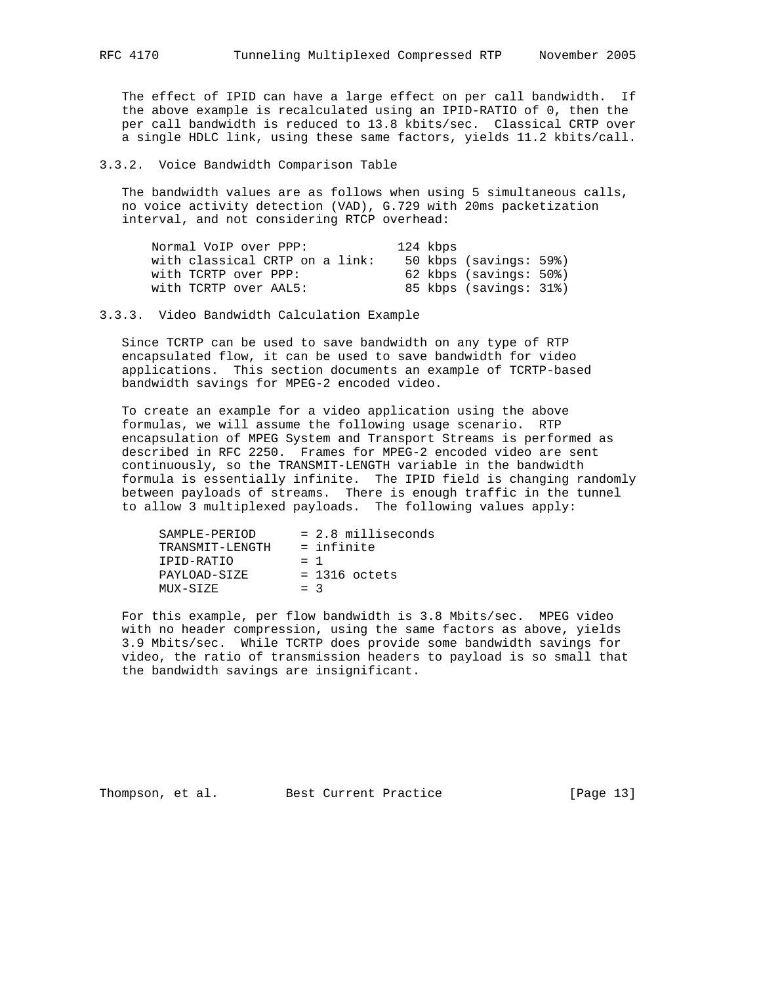The effect of IPID can have a large effect on per call bandwidth. If the above example is recalculated using an IPID-RATIO of 0, then the per call bandwidth is reduced to 13.8 kbits/sec. Classical CRTP over a single HDLC link, using these same factors, yields 11.2 kbits/call.

3.3.2. Voice Bandwidth Comparison Table

 The bandwidth values are as follows when using 5 simultaneous calls, no voice activity detection (VAD), G.729 with 20ms packetization interval, and not considering RTCP overhead:

| Normal VoIP over PPP:          | 124 kbps               |
|--------------------------------|------------------------|
| with classical CRTP on a link: | 50 kbps (savings: 59%) |
| with TCRTP over PPP:           | 62 kbps (savings: 50%) |
| with TCRTP over AAL5:          | 85 kbps (savings: 31%) |

3.3.3. Video Bandwidth Calculation Example

 Since TCRTP can be used to save bandwidth on any type of RTP encapsulated flow, it can be used to save bandwidth for video applications. This section documents an example of TCRTP-based bandwidth savings for MPEG-2 encoded video.

 To create an example for a video application using the above formulas, we will assume the following usage scenario. RTP encapsulation of MPEG System and Transport Streams is performed as described in RFC 2250. Frames for MPEG-2 encoded video are sent continuously, so the TRANSMIT-LENGTH variable in the bandwidth formula is essentially infinite. The IPID field is changing randomly between payloads of streams. There is enough traffic in the tunnel to allow 3 multiplexed payloads. The following values apply:

| SAMPLE-PERIOD   | $= 2.8$ milliseconds |
|-----------------|----------------------|
| TRANSMIT-LENGTH | = infinite           |
| IPID-RATIO      | $=$ 1                |
| PAYLOAD-SIZE    | $= 1316$ octets      |
| MUX-SIZE        | $=$ 3                |

 For this example, per flow bandwidth is 3.8 Mbits/sec. MPEG video with no header compression, using the same factors as above, yields 3.9 Mbits/sec. While TCRTP does provide some bandwidth savings for video, the ratio of transmission headers to payload is so small that the bandwidth savings are insignificant.

Thompson, et al. Best Current Practice [Page 13]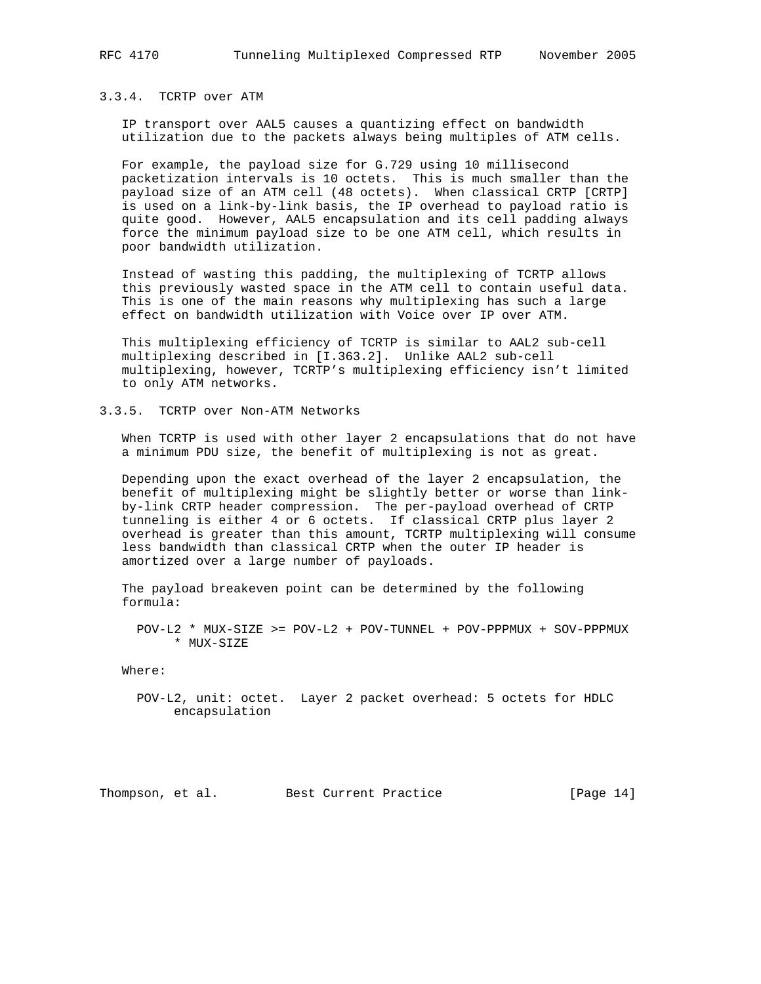### 3.3.4. TCRTP over ATM

 IP transport over AAL5 causes a quantizing effect on bandwidth utilization due to the packets always being multiples of ATM cells.

 For example, the payload size for G.729 using 10 millisecond packetization intervals is 10 octets. This is much smaller than the payload size of an ATM cell (48 octets). When classical CRTP [CRTP] is used on a link-by-link basis, the IP overhead to payload ratio is quite good. However, AAL5 encapsulation and its cell padding always force the minimum payload size to be one ATM cell, which results in poor bandwidth utilization.

 Instead of wasting this padding, the multiplexing of TCRTP allows this previously wasted space in the ATM cell to contain useful data. This is one of the main reasons why multiplexing has such a large effect on bandwidth utilization with Voice over IP over ATM.

 This multiplexing efficiency of TCRTP is similar to AAL2 sub-cell multiplexing described in [I.363.2]. Unlike AAL2 sub-cell multiplexing, however, TCRTP's multiplexing efficiency isn't limited to only ATM networks.

#### 3.3.5. TCRTP over Non-ATM Networks

 When TCRTP is used with other layer 2 encapsulations that do not have a minimum PDU size, the benefit of multiplexing is not as great.

 Depending upon the exact overhead of the layer 2 encapsulation, the benefit of multiplexing might be slightly better or worse than link by-link CRTP header compression. The per-payload overhead of CRTP tunneling is either 4 or 6 octets. If classical CRTP plus layer 2 overhead is greater than this amount, TCRTP multiplexing will consume less bandwidth than classical CRTP when the outer IP header is amortized over a large number of payloads.

 The payload breakeven point can be determined by the following formula:

 POV-L2 \* MUX-SIZE >= POV-L2 + POV-TUNNEL + POV-PPPMUX + SOV-PPPMUX \* MUX-SIZE

Where:

 POV-L2, unit: octet. Layer 2 packet overhead: 5 octets for HDLC encapsulation

Thompson, et al. Best Current Practice [Page 14]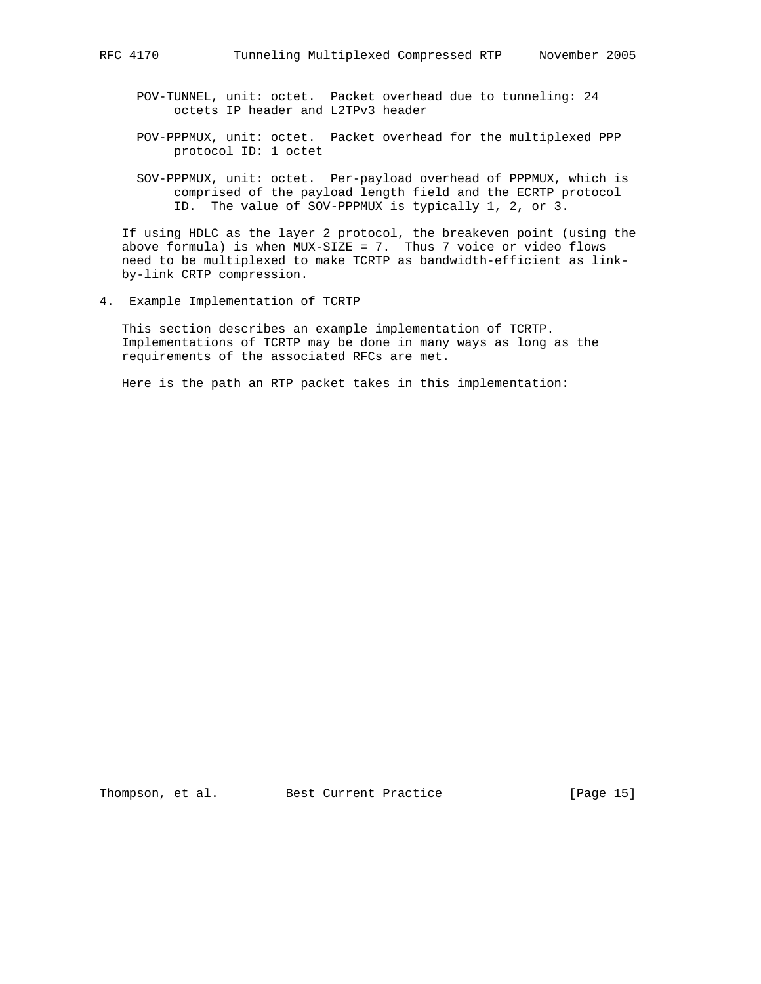- POV-TUNNEL, unit: octet. Packet overhead due to tunneling: 24 octets IP header and L2TPv3 header
- POV-PPPMUX, unit: octet. Packet overhead for the multiplexed PPP protocol ID: 1 octet
- SOV-PPPMUX, unit: octet. Per-payload overhead of PPPMUX, which is comprised of the payload length field and the ECRTP protocol ID. The value of SOV-PPPMUX is typically 1, 2, or 3.

 If using HDLC as the layer 2 protocol, the breakeven point (using the above formula) is when  $MUX-SIZE = 7$ . Thus 7 voice or video flows need to be multiplexed to make TCRTP as bandwidth-efficient as link by-link CRTP compression.

4. Example Implementation of TCRTP

 This section describes an example implementation of TCRTP. Implementations of TCRTP may be done in many ways as long as the requirements of the associated RFCs are met.

Here is the path an RTP packet takes in this implementation:

Thompson, et al. Best Current Practice [Page 15]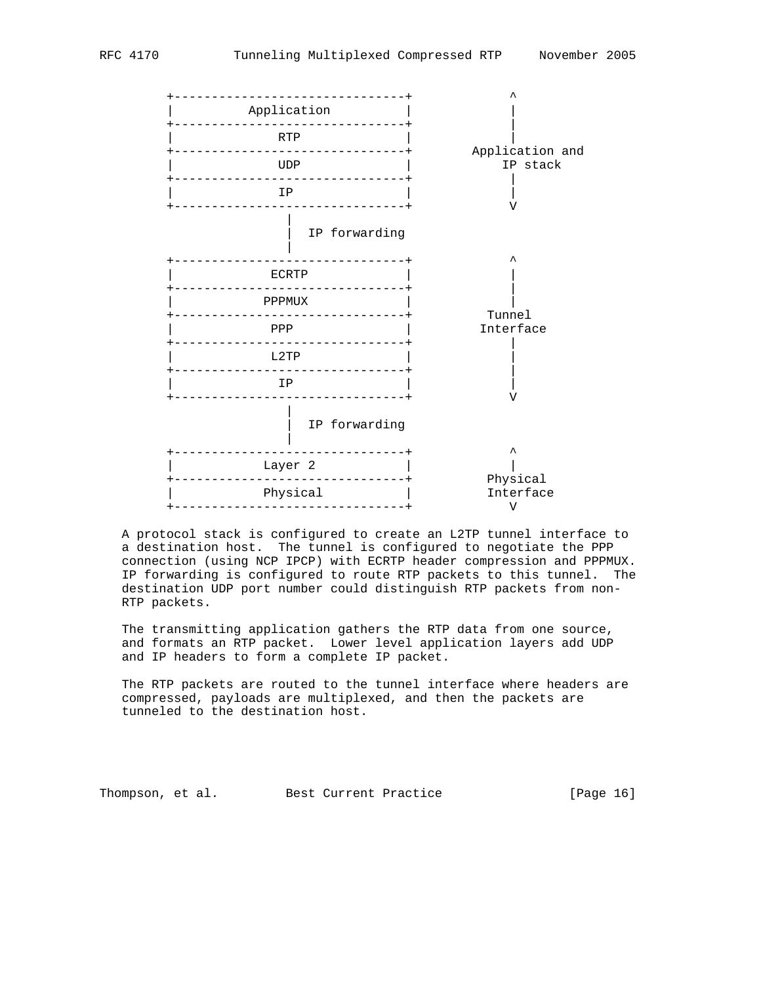

 A protocol stack is configured to create an L2TP tunnel interface to a destination host. The tunnel is configured to negotiate the PPP connection (using NCP IPCP) with ECRTP header compression and PPPMUX. IP forwarding is configured to route RTP packets to this tunnel. The destination UDP port number could distinguish RTP packets from non- RTP packets.

 The transmitting application gathers the RTP data from one source, and formats an RTP packet. Lower level application layers add UDP and IP headers to form a complete IP packet.

 The RTP packets are routed to the tunnel interface where headers are compressed, payloads are multiplexed, and then the packets are tunneled to the destination host.

Thompson, et al. Best Current Practice [Page 16]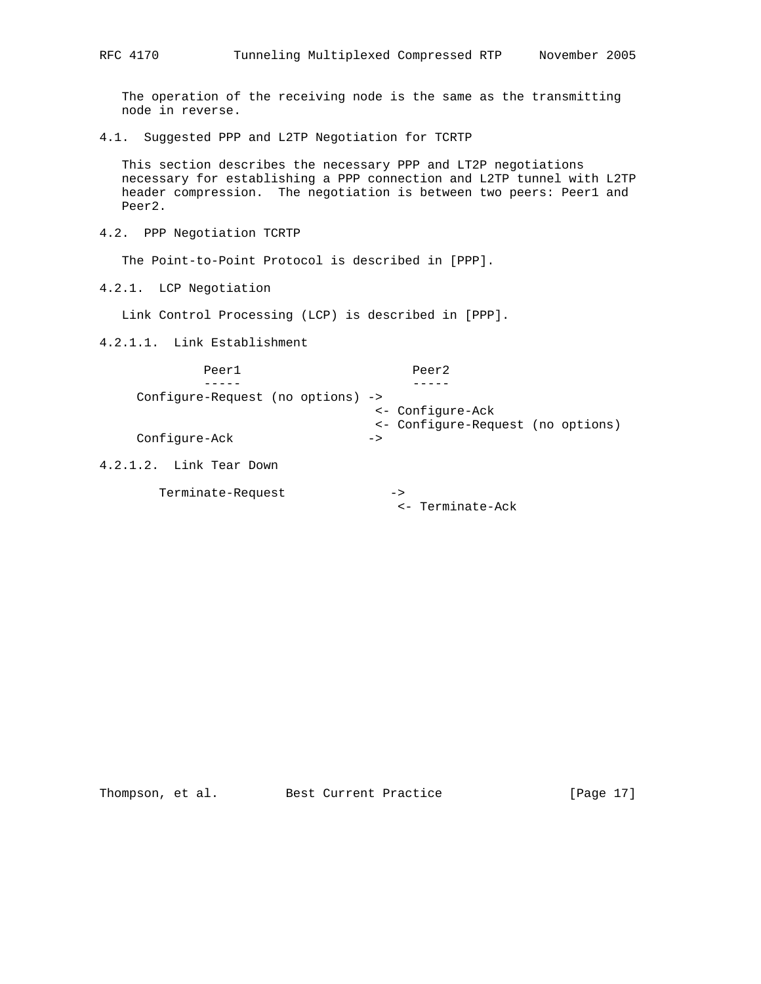The operation of the receiving node is the same as the transmitting node in reverse.

4.1. Suggested PPP and L2TP Negotiation for TCRTP

 This section describes the necessary PPP and LT2P negotiations necessary for establishing a PPP connection and L2TP tunnel with L2TP header compression. The negotiation is between two peers: Peer1 and Peer2.

4.2. PPP Negotiation TCRTP

The Point-to-Point Protocol is described in [PPP].

4.2.1. LCP Negotiation

Link Control Processing (LCP) is described in [PPP].

Terminate-Request ->

4.2.1.1. Link Establishment

| Peer1                             | Peer <sub>2</sub>                                                      |  |
|-----------------------------------|------------------------------------------------------------------------|--|
| Configure-Request (no options) -> |                                                                        |  |
| Configure-Ack                     | <- Configure-Ack<br><- Configure-Request (no options)<br>$\rightarrow$ |  |
| $4.2.1.2.$ Link Tear Down         |                                                                        |  |

<- Terminate-Ack

Thompson, et al. Best Current Practice [Page 17]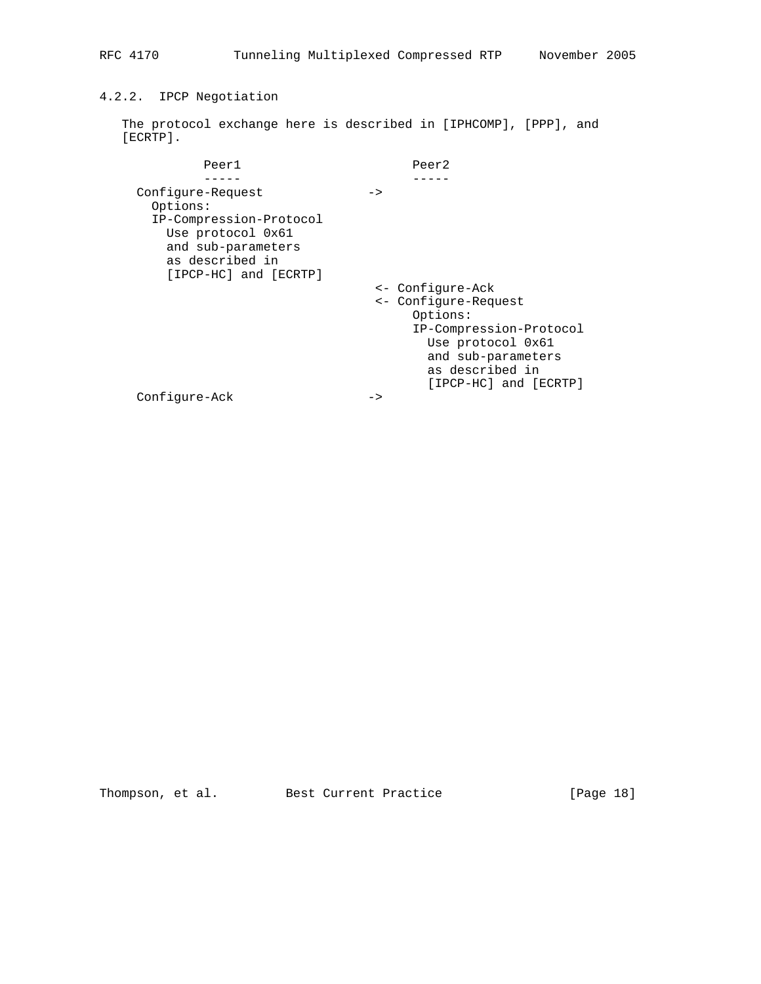# 4.2.2. IPCP Negotiation

 The protocol exchange here is described in [IPHCOMP], [PPP], and [ECRTP].

| Peer1                                                                                                                                           | Peer2                                                                                                                                                                  |
|-------------------------------------------------------------------------------------------------------------------------------------------------|------------------------------------------------------------------------------------------------------------------------------------------------------------------------|
|                                                                                                                                                 |                                                                                                                                                                        |
| Configure-Request<br>Options:<br>IP-Compression-Protocol<br>Use protocol 0x61<br>and sub-parameters<br>as described in<br>[IPCP-HC] and [ECRTP] | $\rightarrow$                                                                                                                                                          |
|                                                                                                                                                 | <- Configure-Ack<br><- Configure-Request<br>Options:<br>IP-Compression-Protocol<br>Use protocol 0x61<br>and sub-parameters<br>as described in<br>[IPCP-HC] and [ECRTP] |
| Configure-Ack                                                                                                                                   | ->                                                                                                                                                                     |

Thompson, et al. Best Current Practice [Page 18]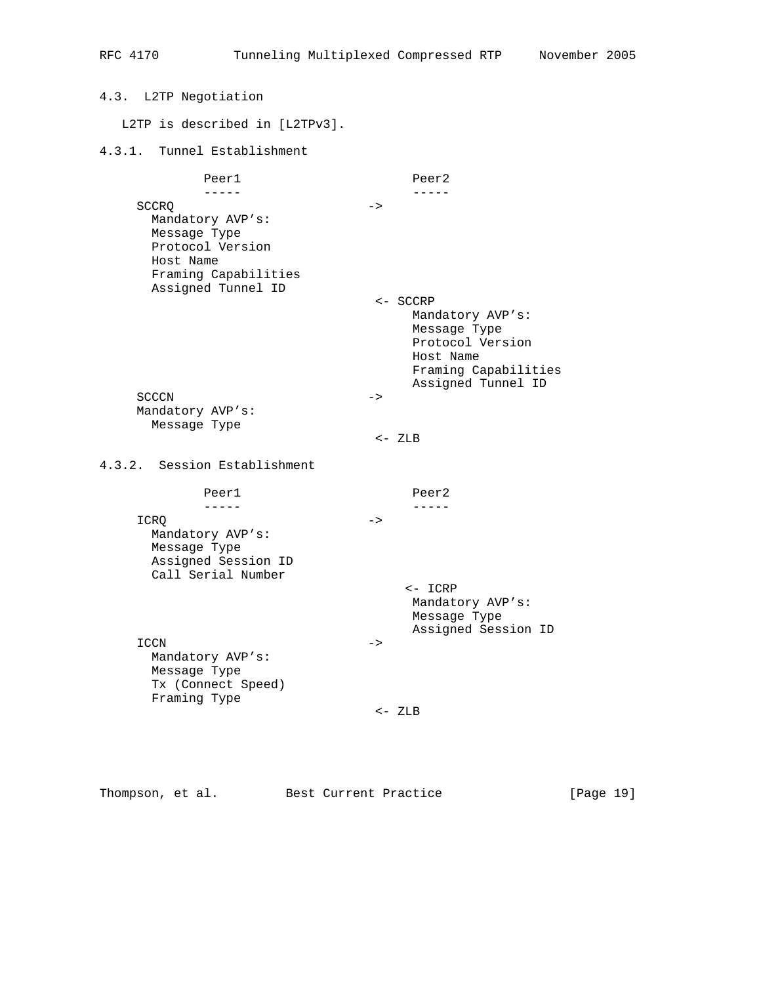4.3. L2TP Negotiation L2TP is described in [L2TPv3]. 4.3.1. Tunnel Establishment Peer1 Peer2 ----- ----- SCCRQ -> Mandatory AVP's: Message Type Protocol Version Host Name Framing Capabilities Assigned Tunnel ID <- SCCRP Mandatory AVP's: Message Type Protocol Version Host Name Framing Capabilities Assigned Tunnel ID  $SCCCN$   $->$  Mandatory AVP's: Message Type <- ZLB 4.3.2. Session Establishment Peer1 Peer2 ----- ----- ICRQ -> Mandatory AVP's: Message Type Assigned Session ID Call Serial Number <- ICRP Mandatory AVP's: Message Type Assigned Session ID  $\begin{tabular}{ccccc} \multicolumn{2}{c|}{\text{ICCN}} & & & \multicolumn{2}{c|}{\text{--}} \end{tabular}$  Mandatory AVP's: Message Type Tx (Connect Speed) Framing Type <- ZLB

Thompson, et al. Best Current Practice [Page 19]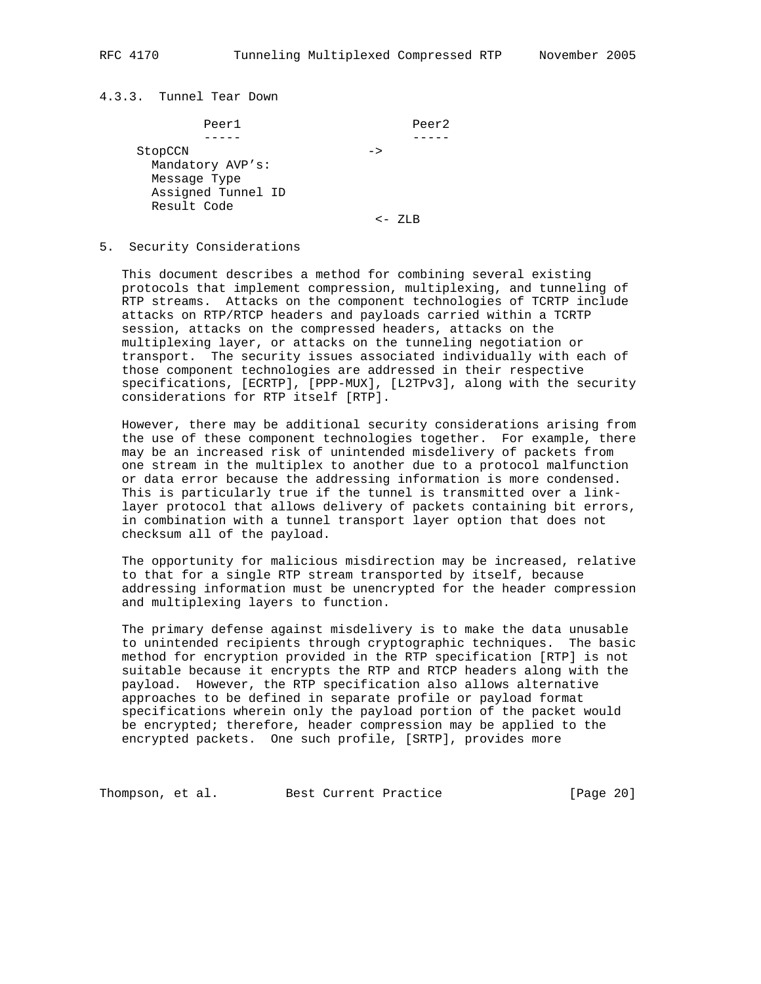## 4.3.3. Tunnel Tear Down

| Peer1              | Peer2         |
|--------------------|---------------|
|                    |               |
| StopCCN            | $\rightarrow$ |
| Mandatory AVP's:   |               |
| Message Type       |               |
| Assigned Tunnel ID |               |
| Result Code        |               |
|                    |               |

## 5. Security Considerations

 This document describes a method for combining several existing protocols that implement compression, multiplexing, and tunneling of RTP streams. Attacks on the component technologies of TCRTP include attacks on RTP/RTCP headers and payloads carried within a TCRTP session, attacks on the compressed headers, attacks on the multiplexing layer, or attacks on the tunneling negotiation or transport. The security issues associated individually with each of those component technologies are addressed in their respective specifications, [ECRTP], [PPP-MUX], [L2TPv3], along with the security considerations for RTP itself [RTP].

 However, there may be additional security considerations arising from the use of these component technologies together. For example, there may be an increased risk of unintended misdelivery of packets from one stream in the multiplex to another due to a protocol malfunction or data error because the addressing information is more condensed. This is particularly true if the tunnel is transmitted over a link layer protocol that allows delivery of packets containing bit errors, in combination with a tunnel transport layer option that does not checksum all of the payload.

 The opportunity for malicious misdirection may be increased, relative to that for a single RTP stream transported by itself, because addressing information must be unencrypted for the header compression and multiplexing layers to function.

 The primary defense against misdelivery is to make the data unusable to unintended recipients through cryptographic techniques. The basic method for encryption provided in the RTP specification [RTP] is not suitable because it encrypts the RTP and RTCP headers along with the payload. However, the RTP specification also allows alternative approaches to be defined in separate profile or payload format specifications wherein only the payload portion of the packet would be encrypted; therefore, header compression may be applied to the encrypted packets. One such profile, [SRTP], provides more

Thompson, et al. Best Current Practice [Page 20]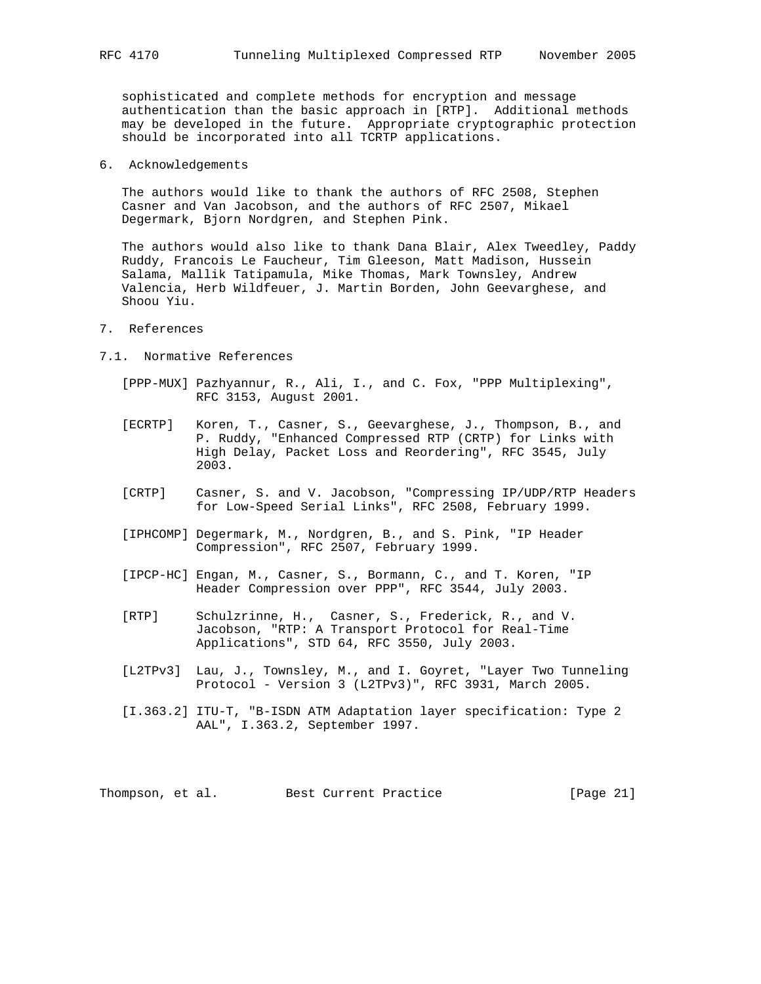sophisticated and complete methods for encryption and message authentication than the basic approach in [RTP]. Additional methods may be developed in the future. Appropriate cryptographic protection should be incorporated into all TCRTP applications.

6. Acknowledgements

 The authors would like to thank the authors of RFC 2508, Stephen Casner and Van Jacobson, and the authors of RFC 2507, Mikael Degermark, Bjorn Nordgren, and Stephen Pink.

 The authors would also like to thank Dana Blair, Alex Tweedley, Paddy Ruddy, Francois Le Faucheur, Tim Gleeson, Matt Madison, Hussein Salama, Mallik Tatipamula, Mike Thomas, Mark Townsley, Andrew Valencia, Herb Wildfeuer, J. Martin Borden, John Geevarghese, and Shoou Yiu.

- 7. References
- 7.1. Normative References
	- [PPP-MUX] Pazhyannur, R., Ali, I., and C. Fox, "PPP Multiplexing", RFC 3153, August 2001.
	- [ECRTP] Koren, T., Casner, S., Geevarghese, J., Thompson, B., and P. Ruddy, "Enhanced Compressed RTP (CRTP) for Links with High Delay, Packet Loss and Reordering", RFC 3545, July 2003.
	- [CRTP] Casner, S. and V. Jacobson, "Compressing IP/UDP/RTP Headers for Low-Speed Serial Links", RFC 2508, February 1999.
	- [IPHCOMP] Degermark, M., Nordgren, B., and S. Pink, "IP Header Compression", RFC 2507, February 1999.
	- [IPCP-HC] Engan, M., Casner, S., Bormann, C., and T. Koren, "IP Header Compression over PPP", RFC 3544, July 2003.
	- [RTP] Schulzrinne, H., Casner, S., Frederick, R., and V. Jacobson, "RTP: A Transport Protocol for Real-Time Applications", STD 64, RFC 3550, July 2003.
	- [L2TPv3] Lau, J., Townsley, M., and I. Goyret, "Layer Two Tunneling Protocol - Version 3 (L2TPv3)", RFC 3931, March 2005.
	- [I.363.2] ITU-T, "B-ISDN ATM Adaptation layer specification: Type 2 AAL", I.363.2, September 1997.

Thompson, et al. Best Current Practice [Page 21]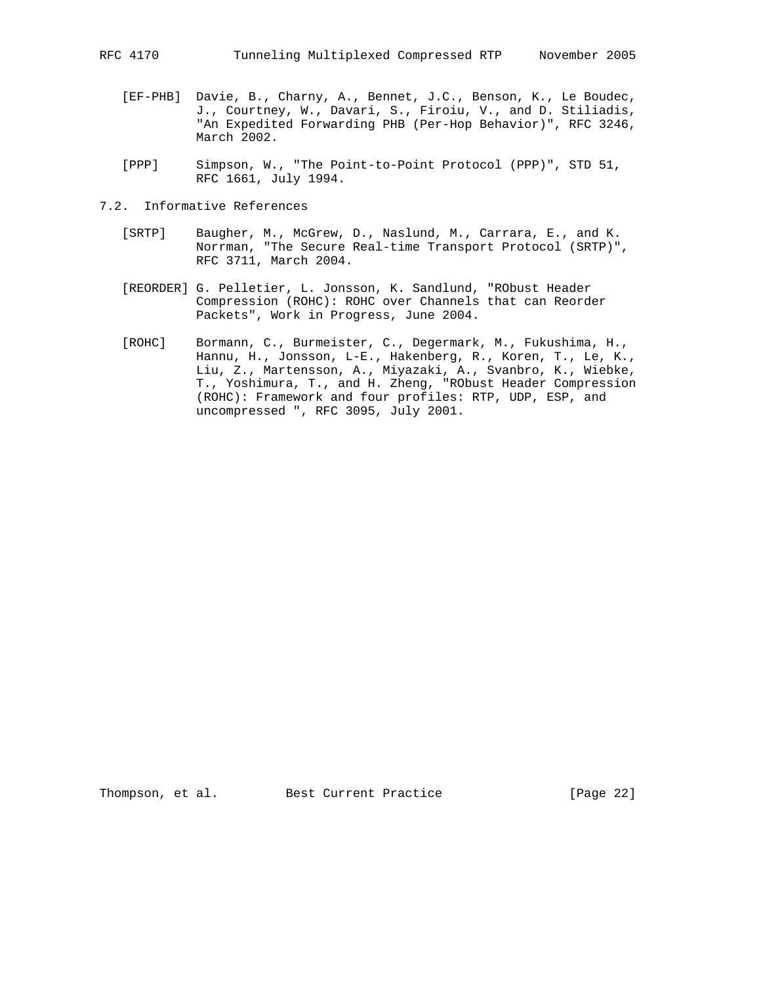- [EF-PHB] Davie, B., Charny, A., Bennet, J.C., Benson, K., Le Boudec, J., Courtney, W., Davari, S., Firoiu, V., and D. Stiliadis, "An Expedited Forwarding PHB (Per-Hop Behavior)", RFC 3246, March 2002.
- [PPP] Simpson, W., "The Point-to-Point Protocol (PPP)", STD 51, RFC 1661, July 1994.
- 7.2. Informative References
	- [SRTP] Baugher, M., McGrew, D., Naslund, M., Carrara, E., and K. Norrman, "The Secure Real-time Transport Protocol (SRTP)", RFC 3711, March 2004.
	- [REORDER] G. Pelletier, L. Jonsson, K. Sandlund, "RObust Header Compression (ROHC): ROHC over Channels that can Reorder Packets", Work in Progress, June 2004.
	- [ROHC] Bormann, C., Burmeister, C., Degermark, M., Fukushima, H., Hannu, H., Jonsson, L-E., Hakenberg, R., Koren, T., Le, K., Liu, Z., Martensson, A., Miyazaki, A., Svanbro, K., Wiebke, T., Yoshimura, T., and H. Zheng, "RObust Header Compression (ROHC): Framework and four profiles: RTP, UDP, ESP, and uncompressed ", RFC 3095, July 2001.

Thompson, et al. Best Current Practice [Page 22]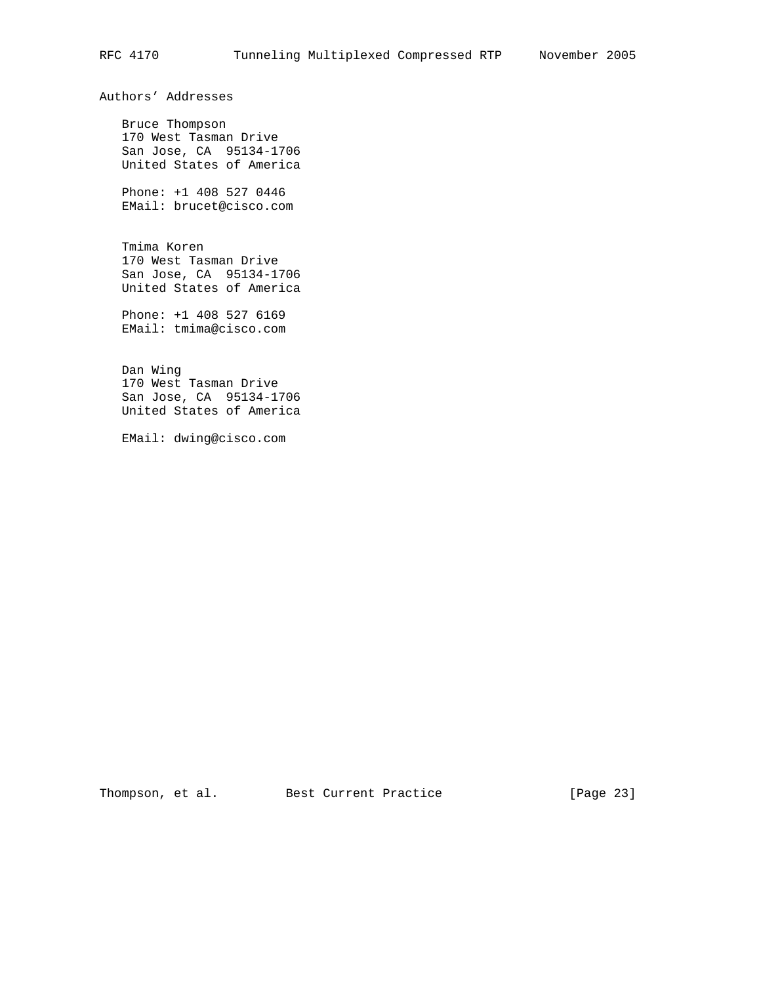Authors' Addresses

 Bruce Thompson 170 West Tasman Drive San Jose, CA 95134-1706 United States of America

 Phone: +1 408 527 0446 EMail: brucet@cisco.com

 Tmima Koren 170 West Tasman Drive San Jose, CA 95134-1706 United States of America

 Phone: +1 408 527 6169 EMail: tmima@cisco.com

 Dan Wing 170 West Tasman Drive San Jose, CA 95134-1706 United States of America

EMail: dwing@cisco.com

Thompson, et al. Best Current Practice [Page 23]